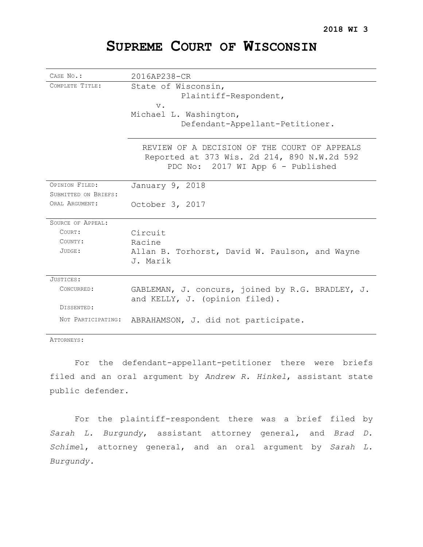# **SUPREME COURT OF WISCONSIN**

| CASE No.:            | 2016AP238-CR                                                                                                                     |
|----------------------|----------------------------------------------------------------------------------------------------------------------------------|
| COMPLETE TITLE:      | State of Wisconsin,<br>Plaintiff-Respondent,<br>$V$ .<br>Michael L. Washington,<br>Defendant-Appellant-Petitioner.               |
|                      | REVIEW OF A DECISION OF THE COURT OF APPEALS<br>Reported at 373 Wis. 2d 214, 890 N.W.2d 592<br>PDC No: 2017 WI App 6 - Published |
| OPINION FILED:       | January 9, 2018                                                                                                                  |
| SUBMITTED ON BRIEFS: |                                                                                                                                  |
| ORAL ARGUMENT:       | October 3, 2017                                                                                                                  |
| SOURCE OF APPEAL:    |                                                                                                                                  |
| COURT:               | Circuit                                                                                                                          |
| COUNTY:              | Racine                                                                                                                           |
| JUDGE:               | Allan B. Torhorst, David W. Paulson, and Wayne<br>J. Marik                                                                       |
| JUSTICES:            |                                                                                                                                  |
| CONCURRED:           | GABLEMAN, J. concurs, joined by R.G. BRADLEY, J.<br>and KELLY, J. (opinion filed).                                               |
| DISSENTED:           |                                                                                                                                  |
| NOT PARTICIPATING:   | ABRAHAMSON, J. did not participate.                                                                                              |

ATTORNEYS:

For the defendant-appellant-petitioner there were briefs filed and an oral argument by *Andrew R. Hinkel*, assistant state public defender.

For the plaintiff-respondent there was a brief filed by *Sarah L. Burgundy*, assistant attorney general, and *Brad D. Schime*l, attorney general, and an oral argument by *Sarah L. Burgundy.*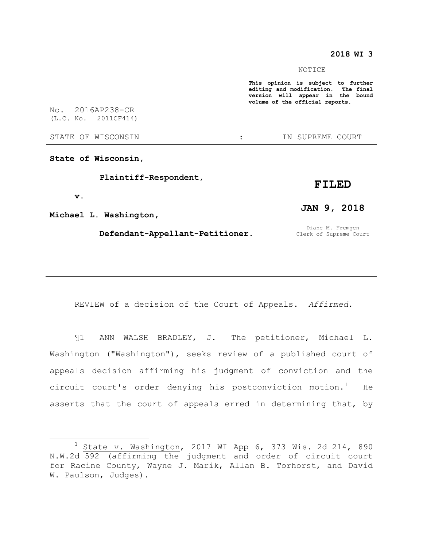## **2018 WI 3**

#### NOTICE

**This opinion is subject to further editing and modification. The final version will appear in the bound volume of the official reports.** 

No. 2016AP238-CR (L.C. No. 2011CF414)

STATE OF WISCONSIN THE STATE OF WISCONSIN THE STATE OF STATE OF STATE OF STATE OF STATE OF STATE OF STATE OF STATE OF STATE OF STATE OF STATE OF STATE OF STATE OF STATE OF STATE OF STATE OF STATE OF STATE OF STATE OF STATE

**State of Wisconsin,**

 **Plaintiff-Respondent,**

#### **v.**

 $\overline{a}$ 

**Michael L. Washington,**

### **Defendant-Appellant-Petitioner.**

**JAN 9, 2018**

**FILED**

Diane M. Fremgen Clerk of Supreme Court

REVIEW of a decision of the Court of Appeals. *Affirmed.*

¶1 ANN WALSH BRADLEY, J. The petitioner, Michael L. Washington ("Washington"), seeks review of a published court of appeals decision affirming his judgment of conviction and the circuit court's order denying his postconviction motion.<sup>1</sup> He asserts that the court of appeals erred in determining that, by

 $1$  State v. Washington, 2017 WI App 6, 373 Wis. 2d 214, 890 N.W.2d 592 (affirming the judgment and order of circuit court for Racine County, Wayne J. Marik, Allan B. Torhorst, and David W. Paulson, Judges).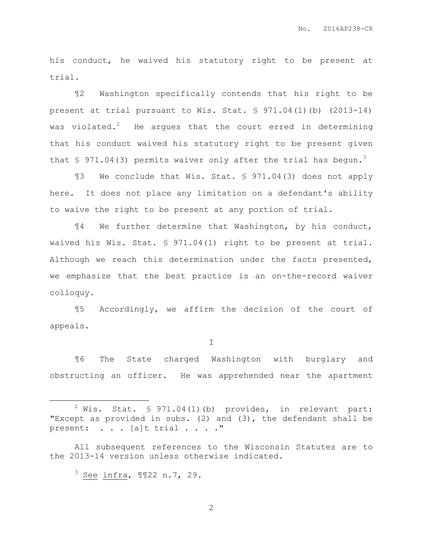his conduct, he waived his statutory right to be present at trial.

¶2 Washington specifically contends that his right to be present at trial pursuant to Wis. Stat. § 971.04(1)(b) (2013-14) was violated.<sup>2</sup> He argues that the court erred in determining that his conduct waived his statutory right to be present given that  $\frac{1}{2}$  971.04(3) permits waiver only after the trial has begun.<sup>3</sup>

¶3 We conclude that Wis. Stat. § 971.04(3) does not apply here. It does not place any limitation on a defendant's ability to waive the right to be present at any portion of trial.

¶4 We further determine that Washington, by his conduct, waived his Wis. Stat. § 971.04(1) right to be present at trial. Although we reach this determination under the facts presented, we emphasize that the best practice is an on-the-record waiver colloquy.

¶5 Accordingly, we affirm the decision of the court of appeals.

I

¶6 The State charged Washington with burglary and obstructing an officer. He was apprehended near the apartment

All subsequent references to the Wisconsin Statutes are to the 2013-14 version unless otherwise indicated.

 $3$  See infra,  $\text{M22 n.7, 29.}$ 

 $\overline{a}$ 

 $2$  Wis. Stat. § 971.04(1)(b) provides, in relevant part: "Except as provided in subs. (2) and (3), the defendant shall be present: . . . [a]t trial . . . . "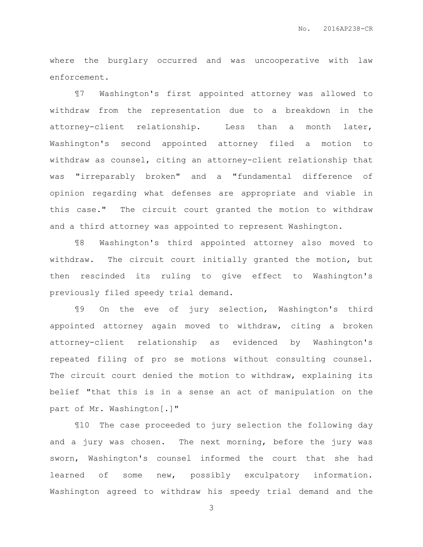where the burglary occurred and was uncooperative with law enforcement.

¶7 Washington's first appointed attorney was allowed to withdraw from the representation due to a breakdown in the attorney-client relationship. Less than a month later, Washington's second appointed attorney filed a motion to withdraw as counsel, citing an attorney-client relationship that was "irreparably broken" and a "fundamental difference of opinion regarding what defenses are appropriate and viable in this case." The circuit court granted the motion to withdraw and a third attorney was appointed to represent Washington.

¶8 Washington's third appointed attorney also moved to withdraw. The circuit court initially granted the motion, but then rescinded its ruling to give effect to Washington's previously filed speedy trial demand.

¶9 On the eve of jury selection, Washington's third appointed attorney again moved to withdraw, citing a broken attorney-client relationship as evidenced by Washington's repeated filing of pro se motions without consulting counsel. The circuit court denied the motion to withdraw, explaining its belief "that this is in a sense an act of manipulation on the part of Mr. Washington[.]"

¶10 The case proceeded to jury selection the following day and a jury was chosen. The next morning, before the jury was sworn, Washington's counsel informed the court that she had learned of some new, possibly exculpatory information. Washington agreed to withdraw his speedy trial demand and the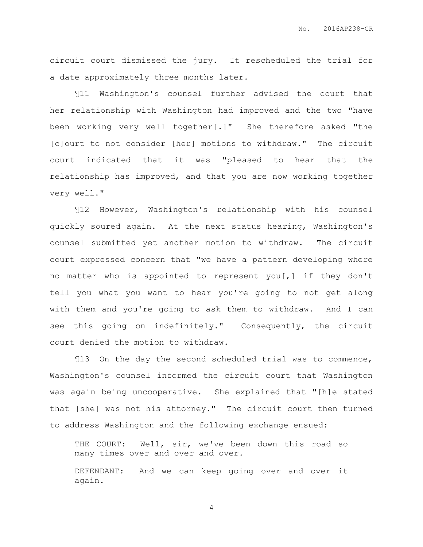circuit court dismissed the jury. It rescheduled the trial for a date approximately three months later.

¶11 Washington's counsel further advised the court that her relationship with Washington had improved and the two "have been working very well together[.]" She therefore asked "the [c]ourt to not consider [her] motions to withdraw." The circuit court indicated that it was "pleased to hear that the relationship has improved, and that you are now working together very well."

¶12 However, Washington's relationship with his counsel quickly soured again. At the next status hearing, Washington's counsel submitted yet another motion to withdraw. The circuit court expressed concern that "we have a pattern developing where no matter who is appointed to represent you[,] if they don't tell you what you want to hear you're going to not get along with them and you're going to ask them to withdraw. And I can see this going on indefinitely." Consequently, the circuit court denied the motion to withdraw.

¶13 On the day the second scheduled trial was to commence, Washington's counsel informed the circuit court that Washington was again being uncooperative. She explained that "[h]e stated that [she] was not his attorney." The circuit court then turned to address Washington and the following exchange ensued:

THE COURT: Well, sir, we've been down this road so many times over and over and over.

DEFENDANT: And we can keep going over and over it again.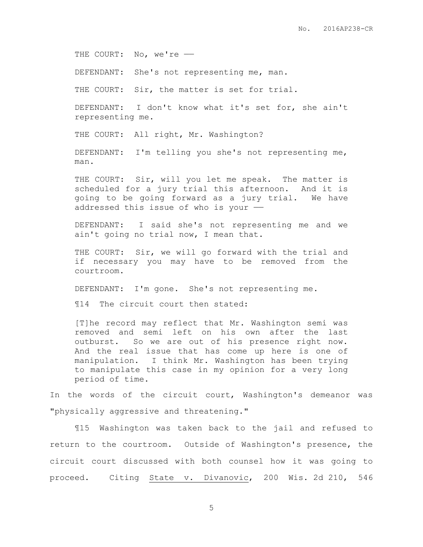THE COURT: No, we're -

DEFENDANT: She's not representing me, man.

THE COURT: Sir, the matter is set for trial.

DEFENDANT: I don't know what it's set for, she ain't representing me.

THE COURT: All right, Mr. Washington?

DEFENDANT: I'm telling you she's not representing me, man.

THE COURT: Sir, will you let me speak. The matter is scheduled for a jury trial this afternoon. And it is going to be going forward as a jury trial. We have addressed this issue of who is your  $-$ 

DEFENDANT: I said she's not representing me and we ain't going no trial now, I mean that.

THE COURT: Sir, we will go forward with the trial and if necessary you may have to be removed from the courtroom.

DEFENDANT: I'm gone. She's not representing me.

¶14 The circuit court then stated:

[T]he record may reflect that Mr. Washington semi was removed and semi left on his own after the last outburst. So we are out of his presence right now. And the real issue that has come up here is one of manipulation. I think Mr. Washington has been trying to manipulate this case in my opinion for a very long period of time.

In the words of the circuit court, Washington's demeanor was "physically aggressive and threatening."

¶15 Washington was taken back to the jail and refused to return to the courtroom. Outside of Washington's presence, the circuit court discussed with both counsel how it was going to proceed. Citing State v. Divanovic, 200 Wis. 2d 210, 546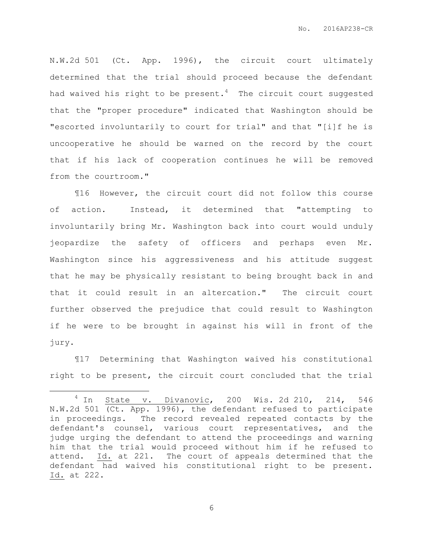N.W.2d 501 (Ct. App. 1996), the circuit court ultimately determined that the trial should proceed because the defendant had waived his right to be present.<sup>4</sup> The circuit court suggested that the "proper procedure" indicated that Washington should be "escorted involuntarily to court for trial" and that "[i]f he is uncooperative he should be warned on the record by the court that if his lack of cooperation continues he will be removed from the courtroom."

¶16 However, the circuit court did not follow this course of action. Instead, it determined that "attempting to involuntarily bring Mr. Washington back into court would unduly jeopardize the safety of officers and perhaps even Mr. Washington since his aggressiveness and his attitude suggest that he may be physically resistant to being brought back in and that it could result in an altercation." The circuit court further observed the prejudice that could result to Washington if he were to be brought in against his will in front of the jury.

¶17 Determining that Washington waived his constitutional right to be present, the circuit court concluded that the trial

 $\overline{a}$ 

 $4$  In State v. Divanovic, 200 Wis. 2d 210, 214, 546 N.W.2d 501 (Ct. App. 1996), the defendant refused to participate in proceedings. The record revealed repeated contacts by the defendant's counsel, various court representatives, and the judge urging the defendant to attend the proceedings and warning him that the trial would proceed without him if he refused to attend. Id. at 221. The court of appeals determined that the defendant had waived his constitutional right to be present. Id. at 222.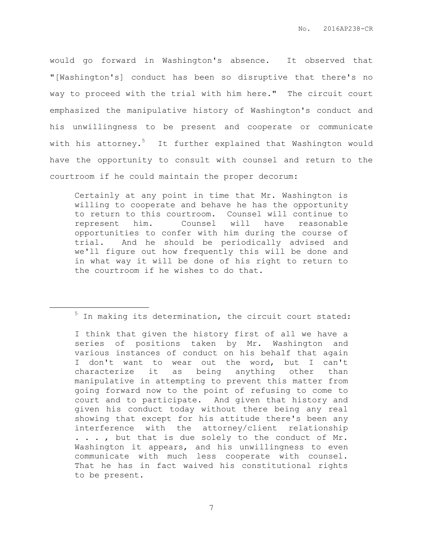would go forward in Washington's absence. It observed that "[Washington's] conduct has been so disruptive that there's no way to proceed with the trial with him here." The circuit court emphasized the manipulative history of Washington's conduct and his unwillingness to be present and cooperate or communicate with his attorney.<sup>5</sup> It further explained that Washington would have the opportunity to consult with counsel and return to the courtroom if he could maintain the proper decorum:

Certainly at any point in time that Mr. Washington is willing to cooperate and behave he has the opportunity to return to this courtroom. Counsel will continue to represent him. Counsel will have reasonable opportunities to confer with him during the course of trial. And he should be periodically advised and we'll figure out how frequently this will be done and in what way it will be done of his right to return to the courtroom if he wishes to do that.

 $\overline{a}$ 

 $5$  In making its determination, the circuit court stated:

I think that given the history first of all we have a series of positions taken by Mr. Washington and various instances of conduct on his behalf that again I don't want to wear out the word, but I can't characterize it as being anything other than manipulative in attempting to prevent this matter from going forward now to the point of refusing to come to court and to participate. And given that history and given his conduct today without there being any real showing that except for his attitude there's been any interference with the attorney/client relationship . . . , but that is due solely to the conduct of Mr. Washington it appears, and his unwillingness to even communicate with much less cooperate with counsel. That he has in fact waived his constitutional rights to be present.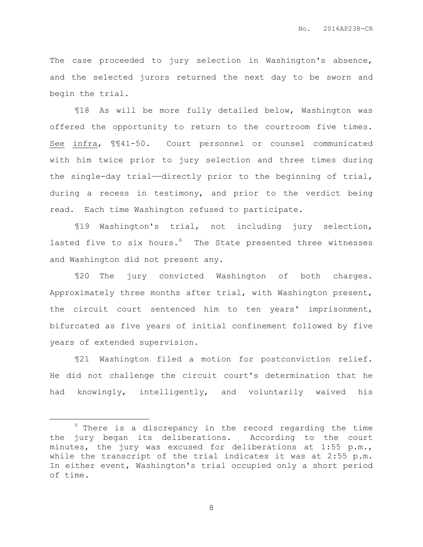The case proceeded to jury selection in Washington's absence, and the selected jurors returned the next day to be sworn and begin the trial.

¶18 As will be more fully detailed below, Washington was offered the opportunity to return to the courtroom five times. See infra, ¶¶41-50. Court personnel or counsel communicated with him twice prior to jury selection and three times during the single-day trial—directly prior to the beginning of trial, during a recess in testimony, and prior to the verdict being read. Each time Washington refused to participate.

¶19 Washington's trial, not including jury selection, lasted five to six hours.<sup>6</sup> The State presented three witnesses and Washington did not present any.

¶20 The jury convicted Washington of both charges. Approximately three months after trial, with Washington present, the circuit court sentenced him to ten years' imprisonment, bifurcated as five years of initial confinement followed by five years of extended supervision.

¶21 Washington filed a motion for postconviction relief. He did not challenge the circuit court's determination that he had knowingly, intelligently, and voluntarily waived his

 $\overline{a}$ 

 $6$  There is a discrepancy in the record regarding the time the jury began its deliberations. According to the court minutes, the jury was excused for deliberations at 1:55 p.m., while the transcript of the trial indicates it was at 2:55 p.m. In either event, Washington's trial occupied only a short period of time.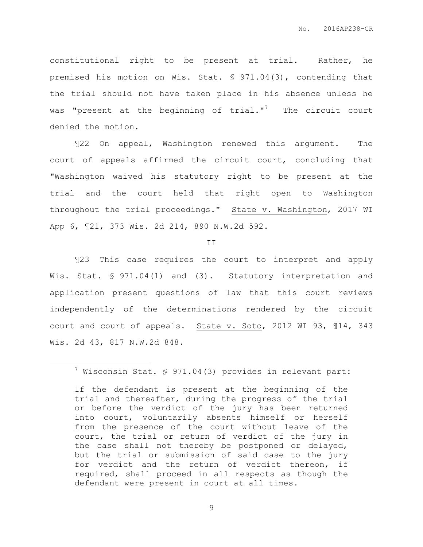constitutional right to be present at trial. Rather, he premised his motion on Wis. Stat. § 971.04(3), contending that the trial should not have taken place in his absence unless he was "present at the beginning of  $trial.^{n^7}$  The circuit court denied the motion.

¶22 On appeal, Washington renewed this argument. The court of appeals affirmed the circuit court, concluding that "Washington waived his statutory right to be present at the trial and the court held that right open to Washington throughout the trial proceedings." State v. Washington, 2017 WI App 6, ¶21, 373 Wis. 2d 214, 890 N.W.2d 592.

II

¶23 This case requires the court to interpret and apply Wis. Stat. § 971.04(1) and (3). Statutory interpretation and application present questions of law that this court reviews independently of the determinations rendered by the circuit court and court of appeals. State v. Soto, 2012 WI 93, ¶14, 343 Wis. 2d 43, 817 N.W.2d 848.

 $\overline{a}$ 

 $7$  Wisconsin Stat. § 971.04(3) provides in relevant part:

If the defendant is present at the beginning of the trial and thereafter, during the progress of the trial or before the verdict of the jury has been returned into court, voluntarily absents himself or herself from the presence of the court without leave of the court, the trial or return of verdict of the jury in the case shall not thereby be postponed or delayed, but the trial or submission of said case to the jury for verdict and the return of verdict thereon, if required, shall proceed in all respects as though the defendant were present in court at all times.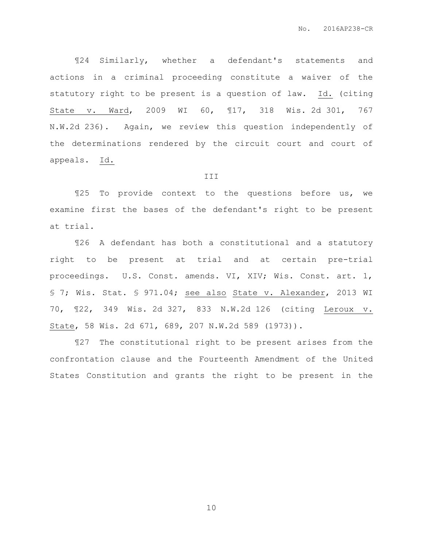¶24 Similarly, whether a defendant's statements and actions in a criminal proceeding constitute a waiver of the statutory right to be present is a question of law. Id. (citing State v. Ward, 2009 WI 60, ¶17, 318 Wis. 2d 301, 767 N.W.2d 236). Again, we review this question independently of the determinations rendered by the circuit court and court of appeals. Id.

#### III

¶25 To provide context to the questions before us, we examine first the bases of the defendant's right to be present at trial.

¶26 A defendant has both a constitutional and a statutory right to be present at trial and at certain pre-trial proceedings. U.S. Const. amends. VI, XIV; Wis. Const. art. 1, § 7; Wis. Stat. § 971.04; see also State v. Alexander, 2013 WI 70, ¶22, 349 Wis. 2d 327, 833 N.W.2d 126 (citing Leroux v. State, 58 Wis. 2d 671, 689, 207 N.W.2d 589 (1973)).

¶27 The constitutional right to be present arises from the confrontation clause and the Fourteenth Amendment of the United States Constitution and grants the right to be present in the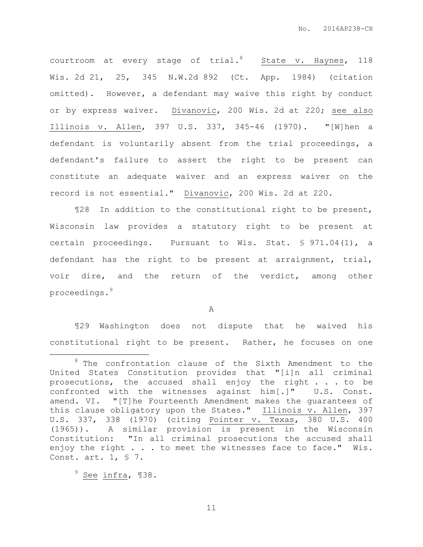courtroom at every stage of trial.<sup>8</sup> State v. Haynes, 118 Wis. 2d 21, 25, 345 N.W.2d 892 (Ct. App. 1984) (citation omitted). However, a defendant may waive this right by conduct or by express waiver. Divanovic, 200 Wis. 2d at 220; see also Illinois v. Allen, 397 U.S. 337, 345-46 (1970). "[W]hen a defendant is voluntarily absent from the trial proceedings, a defendant's failure to assert the right to be present can constitute an adequate waiver and an express waiver on the record is not essential." Divanovic, 200 Wis. 2d at 220.

¶28 In addition to the constitutional right to be present, Wisconsin law provides a statutory right to be present at certain proceedings. Pursuant to Wis. Stat. § 971.04(1), a defendant has the right to be present at arraignment, trial, voir dire, and the return of the verdict, among other proceedings.<sup>9</sup>

A

¶29 Washington does not dispute that he waived his constitutional right to be present. Rather, he focuses on one

 $9$  See infra,  $138$ .

 $\overline{a}$ 

 $8$  The confrontation clause of the Sixth Amendment to the United States Constitution provides that "[i]n all criminal prosecutions, the accused shall enjoy the right . . . to be confronted with the witnesses against him[.]" U.S. Const. amend. VI. "[T]he Fourteenth Amendment makes the guarantees of this clause obligatory upon the States." Illinois v. Allen, 397 U.S. 337, 338 (1970) (citing Pointer v. Texas, 380 U.S. 400 (1965)). A similar provision is present in the Wisconsin Constitution: "In all criminal prosecutions the accused shall enjoy the right . . . to meet the witnesses face to face." Wis. Const. art. 1, § 7.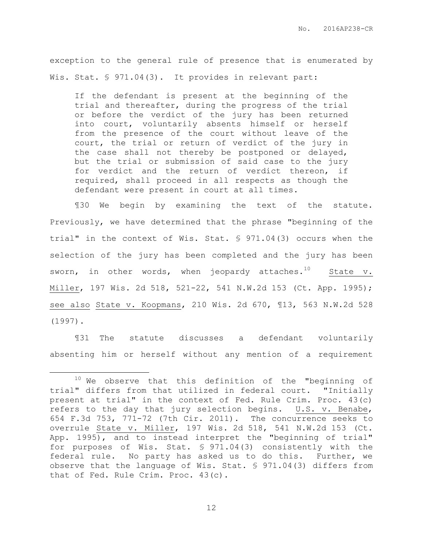exception to the general rule of presence that is enumerated by Wis. Stat. § 971.04(3). It provides in relevant part:

If the defendant is present at the beginning of the trial and thereafter, during the progress of the trial or before the verdict of the jury has been returned into court, voluntarily absents himself or herself from the presence of the court without leave of the court, the trial or return of verdict of the jury in the case shall not thereby be postponed or delayed, but the trial or submission of said case to the jury for verdict and the return of verdict thereon, if required, shall proceed in all respects as though the defendant were present in court at all times.

¶30 We begin by examining the text of the statute. Previously, we have determined that the phrase "beginning of the trial" in the context of Wis. Stat. § 971.04(3) occurs when the selection of the jury has been completed and the jury has been sworn, in other words, when jeopardy attaches.<sup>10</sup> State v. Miller, 197 Wis. 2d 518, 521-22, 541 N.W.2d 153 (Ct. App. 1995); see also State v. Koopmans, 210 Wis. 2d 670, ¶13, 563 N.W.2d 528 (1997).

¶31 The statute discusses a defendant voluntarily absenting him or herself without any mention of a requirement

 $\overline{a}$ 

 $10$  We observe that this definition of the "beginning of trial" differs from that utilized in federal court. "Initially present at trial" in the context of Fed. Rule Crim. Proc. 43(c) refers to the day that jury selection begins. U.S. v. Benabe, 654 F.3d 753, 771-72 (7th Cir. 2011). The concurrence seeks to overrule State v. Miller, 197 Wis. 2d 518, 541 N.W.2d 153 (Ct. App. 1995), and to instead interpret the "beginning of trial" for purposes of Wis. Stat. § 971.04(3) consistently with the federal rule. No party has asked us to do this. Further, we observe that the language of Wis. Stat. § 971.04(3) differs from that of Fed. Rule Crim. Proc. 43(c).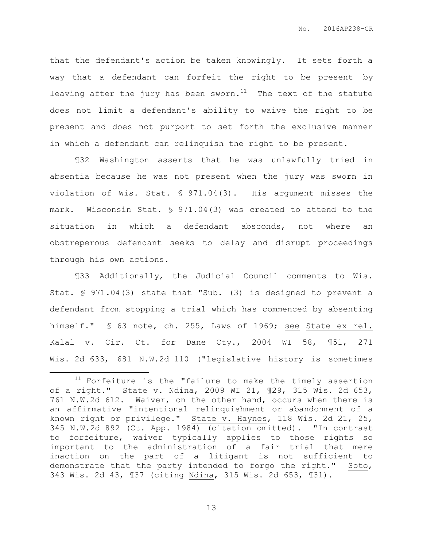that the defendant's action be taken knowingly. It sets forth a way that a defendant can forfeit the right to be present-by leaving after the jury has been sworn. $11$  The text of the statute does not limit a defendant's ability to waive the right to be present and does not purport to set forth the exclusive manner in which a defendant can relinquish the right to be present.

¶32 Washington asserts that he was unlawfully tried in absentia because he was not present when the jury was sworn in violation of Wis. Stat. § 971.04(3). His argument misses the mark. Wisconsin Stat. § 971.04(3) was created to attend to the situation in which a defendant absconds, not where an obstreperous defendant seeks to delay and disrupt proceedings through his own actions.

¶33 Additionally, the Judicial Council comments to Wis. Stat. § 971.04(3) state that "Sub. (3) is designed to prevent a defendant from stopping a trial which has commenced by absenting himself." § 63 note, ch. 255, Laws of 1969; see State ex rel. Kalal v. Cir. Ct. for Dane Cty., 2004 WI 58, ¶51, 271 Wis. 2d 633, 681 N.W.2d 110 ("legislative history is sometimes

 $\overline{a}$ 

<sup>&</sup>lt;sup>11</sup> Forfeiture is the "failure to make the timely assertion of a right." State v. Ndina, 2009 WI 21, ¶29, 315 Wis. 2d 653, 761 N.W.2d 612. Waiver, on the other hand, occurs when there is an affirmative "intentional relinquishment or abandonment of a known right or privilege." State v. Haynes, 118 Wis. 2d 21, 25, 345 N.W.2d 892 (Ct. App. 1984) (citation omitted). "In contrast to forfeiture, waiver typically applies to those rights so important to the administration of a fair trial that mere inaction on the part of a litigant is not sufficient to demonstrate that the party intended to forgo the right." Soto, 343 Wis. 2d 43, ¶37 (citing Ndina, 315 Wis. 2d 653, ¶31).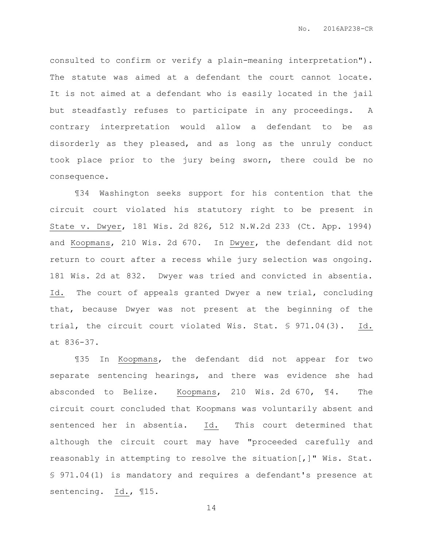consulted to confirm or verify a plain-meaning interpretation"). The statute was aimed at a defendant the court cannot locate. It is not aimed at a defendant who is easily located in the jail but steadfastly refuses to participate in any proceedings. A contrary interpretation would allow a defendant to be as disorderly as they pleased, and as long as the unruly conduct took place prior to the jury being sworn, there could be no consequence.

¶34 Washington seeks support for his contention that the circuit court violated his statutory right to be present in State v. Dwyer, 181 Wis. 2d 826, 512 N.W.2d 233 (Ct. App. 1994) and Koopmans, 210 Wis. 2d 670. In Dwyer, the defendant did not return to court after a recess while jury selection was ongoing. 181 Wis. 2d at 832. Dwyer was tried and convicted in absentia. Id. The court of appeals granted Dwyer a new trial, concluding that, because Dwyer was not present at the beginning of the trial, the circuit court violated Wis. Stat. § 971.04(3). Id. at 836-37.

¶35 In Koopmans, the defendant did not appear for two separate sentencing hearings, and there was evidence she had absconded to Belize. Koopmans, 210 Wis. 2d 670, ¶4. The circuit court concluded that Koopmans was voluntarily absent and sentenced her in absentia. Id. This court determined that although the circuit court may have "proceeded carefully and reasonably in attempting to resolve the situation[,]" Wis. Stat. § 971.04(1) is mandatory and requires a defendant's presence at sentencing. Id., ¶15.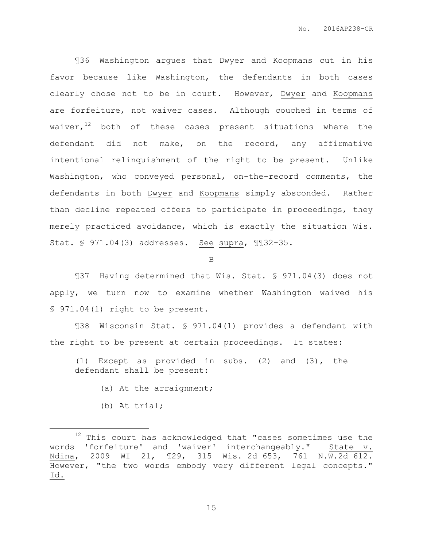¶36 Washington argues that Dwyer and Koopmans cut in his favor because like Washington, the defendants in both cases clearly chose not to be in court. However, Dwyer and Koopmans are forfeiture, not waiver cases. Although couched in terms of waiver, $12$  both of these cases present situations where the defendant did not make, on the record, any affirmative intentional relinquishment of the right to be present. Unlike Washington, who conveyed personal, on-the-record comments, the defendants in both Dwyer and Koopmans simply absconded. Rather than decline repeated offers to participate in proceedings, they merely practiced avoidance, which is exactly the situation Wis. Stat. § 971.04(3) addresses. See supra, ¶¶32-35.

B

¶37 Having determined that Wis. Stat. § 971.04(3) does not apply, we turn now to examine whether Washington waived his § 971.04(1) right to be present.

¶38 Wisconsin Stat. § 971.04(1) provides a defendant with the right to be present at certain proceedings. It states:

(1) Except as provided in subs. (2) and (3), the defendant shall be present:

- (a) At the arraignment;
- (b) At trial;

 $\overline{a}$ 

 $12$  This court has acknowledged that "cases sometimes use the words 'forfeiture' and 'waiver' interchangeably." State v. Ndina, 2009 WI 21, ¶29, 315 Wis. 2d 653, 761 N.W.2d 612. However, "the two words embody very different legal concepts." Id.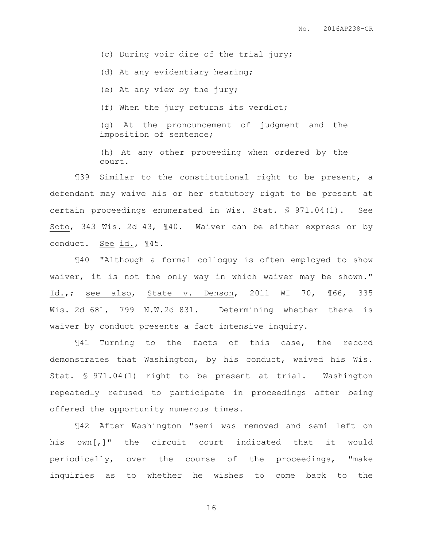(c) During voir dire of the trial jury;

(d) At any evidentiary hearing;

(e) At any view by the jury;

(f) When the jury returns its verdict;

(g) At the pronouncement of judgment and the imposition of sentence;

(h) At any other proceeding when ordered by the court.

¶39 Similar to the constitutional right to be present, a defendant may waive his or her statutory right to be present at certain proceedings enumerated in Wis. Stat. § 971.04(1). See Soto, 343 Wis. 2d 43, ¶40. Waiver can be either express or by conduct. See id., ¶45.

¶40 "Although a formal colloquy is often employed to show waiver, it is not the only way in which waiver may be shown." Id.,; see also, State v. Denson, 2011 WI 70, ¶66, 335 Wis. 2d 681, 799 N.W.2d 831. Determining whether there is waiver by conduct presents a fact intensive inquiry.

¶41 Turning to the facts of this case, the record demonstrates that Washington, by his conduct, waived his Wis. Stat. § 971.04(1) right to be present at trial. Washington repeatedly refused to participate in proceedings after being offered the opportunity numerous times.

¶42 After Washington "semi was removed and semi left on his own[,]" the circuit court indicated that it would periodically, over the course of the proceedings, "make inquiries as to whether he wishes to come back to the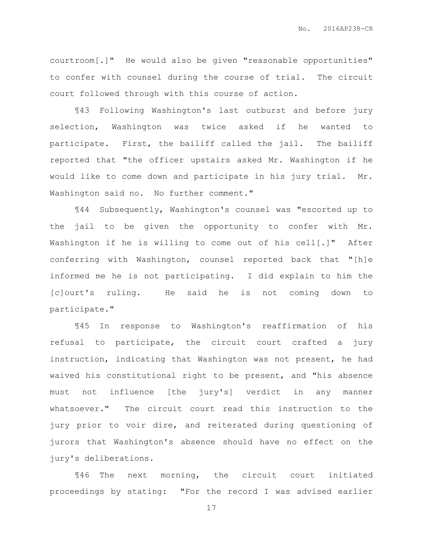courtroom[.]" He would also be given "reasonable opportunities" to confer with counsel during the course of trial. The circuit court followed through with this course of action.

¶43 Following Washington's last outburst and before jury selection, Washington was twice asked if he wanted to participate. First, the bailiff called the jail. The bailiff reported that "the officer upstairs asked Mr. Washington if he would like to come down and participate in his jury trial. Mr. Washington said no. No further comment."

¶44 Subsequently, Washington's counsel was "escorted up to the jail to be given the opportunity to confer with Mr. Washington if he is willing to come out of his cell[.]" After conferring with Washington, counsel reported back that "[h]e informed me he is not participating. I did explain to him the [c]ourt's ruling. He said he is not coming down to participate."

¶45 In response to Washington's reaffirmation of his refusal to participate, the circuit court crafted a jury instruction, indicating that Washington was not present, he had waived his constitutional right to be present, and "his absence must not influence [the jury's] verdict in any manner whatsoever." The circuit court read this instruction to the jury prior to voir dire, and reiterated during questioning of jurors that Washington's absence should have no effect on the jury's deliberations.

¶46 The next morning, the circuit court initiated proceedings by stating: "For the record I was advised earlier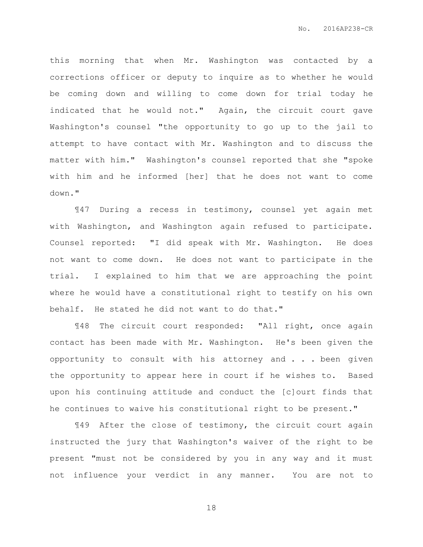this morning that when Mr. Washington was contacted by a corrections officer or deputy to inquire as to whether he would be coming down and willing to come down for trial today he indicated that he would not." Again, the circuit court gave Washington's counsel "the opportunity to go up to the jail to attempt to have contact with Mr. Washington and to discuss the matter with him." Washington's counsel reported that she "spoke with him and he informed [her] that he does not want to come down."

¶47 During a recess in testimony, counsel yet again met with Washington, and Washington again refused to participate. Counsel reported: "I did speak with Mr. Washington. He does not want to come down. He does not want to participate in the trial. I explained to him that we are approaching the point where he would have a constitutional right to testify on his own behalf. He stated he did not want to do that."

¶48 The circuit court responded: "All right, once again contact has been made with Mr. Washington. He's been given the opportunity to consult with his attorney and . . . been given the opportunity to appear here in court if he wishes to. Based upon his continuing attitude and conduct the [c]ourt finds that he continues to waive his constitutional right to be present."

¶49 After the close of testimony, the circuit court again instructed the jury that Washington's waiver of the right to be present "must not be considered by you in any way and it must not influence your verdict in any manner. You are not to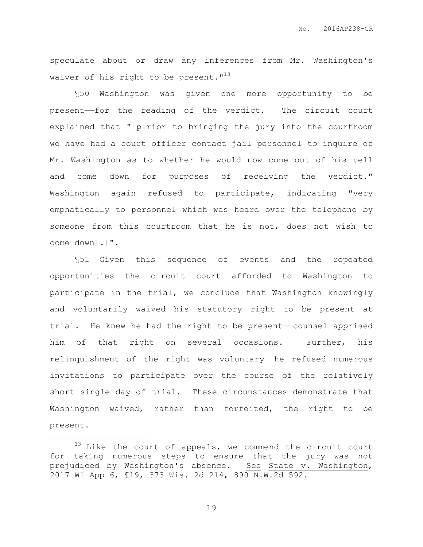speculate about or draw any inferences from Mr. Washington's waiver of his right to be present.  $13$ 

¶50 Washington was given one more opportunity to be present——for the reading of the verdict. The circuit court explained that "[p]rior to bringing the jury into the courtroom we have had a court officer contact jail personnel to inquire of Mr. Washington as to whether he would now come out of his cell and come down for purposes of receiving the verdict." Washington again refused to participate, indicating "very emphatically to personnel which was heard over the telephone by someone from this courtroom that he is not, does not wish to come down[.]".

¶51 Given this sequence of events and the repeated opportunities the circuit court afforded to Washington to participate in the trial, we conclude that Washington knowingly and voluntarily waived his statutory right to be present at trial. He knew he had the right to be present-counsel apprised him of that right on several occasions. Further, his relinquishment of the right was voluntary—he refused numerous invitations to participate over the course of the relatively short single day of trial. These circumstances demonstrate that Washington waived, rather than forfeited, the right to be present.

 $\overline{a}$ 

 $13$  Like the court of appeals, we commend the circuit court for taking numerous steps to ensure that the jury was not prejudiced by Washington's absence. See State v. Washington, 2017 WI App 6, ¶19, 373 Wis. 2d 214, 890 N.W.2d 592.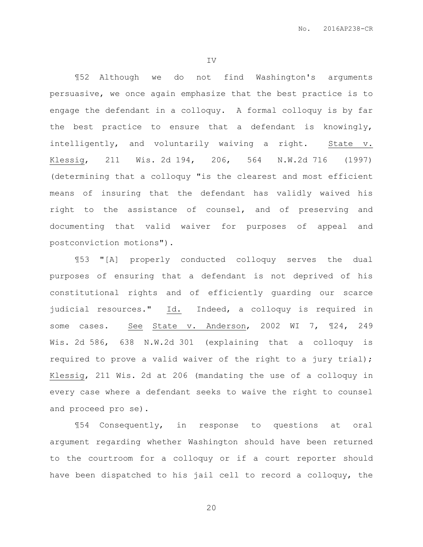IV

¶52 Although we do not find Washington's arguments persuasive, we once again emphasize that the best practice is to engage the defendant in a colloquy. A formal colloquy is by far the best practice to ensure that a defendant is knowingly, intelligently, and voluntarily waiving a right. State v. Klessig, 211 Wis. 2d 194, 206, 564 N.W.2d 716 (1997) (determining that a colloquy "is the clearest and most efficient means of insuring that the defendant has validly waived his right to the assistance of counsel, and of preserving and documenting that valid waiver for purposes of appeal and postconviction motions").

¶53 "[A] properly conducted colloquy serves the dual purposes of ensuring that a defendant is not deprived of his constitutional rights and of efficiently guarding our scarce judicial resources." Id. Indeed, a colloquy is required in some cases. See State v. Anderson, 2002 WI 7, ¶24, 249 Wis. 2d 586, 638 N.W.2d 301 (explaining that a colloquy is required to prove a valid waiver of the right to a jury trial); Klessig, 211 Wis. 2d at 206 (mandating the use of a colloquy in every case where a defendant seeks to waive the right to counsel and proceed pro se).

¶54 Consequently, in response to questions at oral argument regarding whether Washington should have been returned to the courtroom for a colloquy or if a court reporter should have been dispatched to his jail cell to record a colloquy, the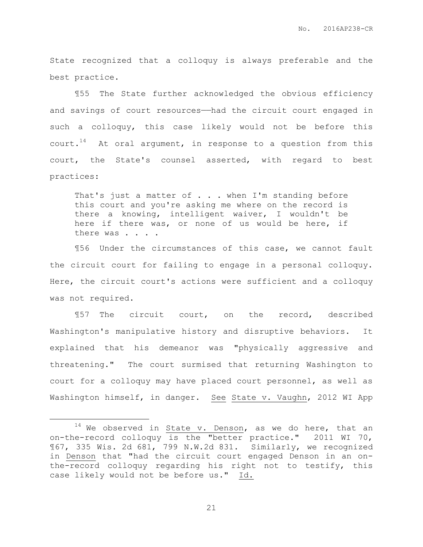State recognized that a colloquy is always preferable and the best practice.

¶55 The State further acknowledged the obvious efficiency and savings of court resources—had the circuit court engaged in such a colloquy, this case likely would not be before this court.<sup>14</sup> At oral argument, in response to a question from this court, the State's counsel asserted, with regard to best practices:

That's just a matter of . . . when I'm standing before this court and you're asking me where on the record is there a knowing, intelligent waiver, I wouldn't be here if there was, or none of us would be here, if there was . . . .

¶56 Under the circumstances of this case, we cannot fault the circuit court for failing to engage in a personal colloquy. Here, the circuit court's actions were sufficient and a colloquy was not required.

¶57 The circuit court, on the record, described Washington's manipulative history and disruptive behaviors. It explained that his demeanor was "physically aggressive and threatening." The court surmised that returning Washington to court for a colloquy may have placed court personnel, as well as Washington himself, in danger. See State v. Vaughn, 2012 WI App

 $\overline{a}$ 

 $14$  We observed in State v. Denson, as we do here, that an on-the-record colloquy is the "better practice." 2011 WI 70, ¶67, 335 Wis. 2d 681, 799 N.W.2d 831. Similarly, we recognized in Denson that "had the circuit court engaged Denson in an onthe-record colloquy regarding his right not to testify, this case likely would not be before us." Id.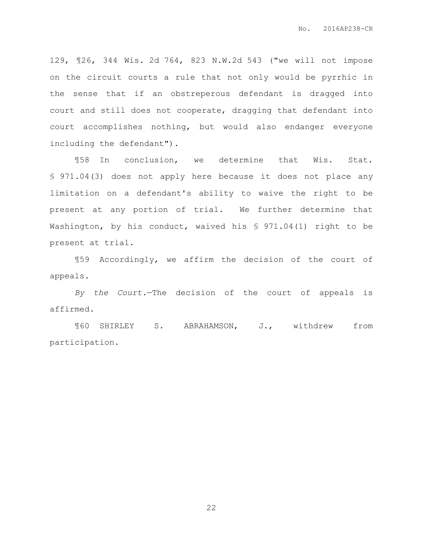129, ¶26, 344 Wis. 2d 764, 823 N.W.2d 543 ("we will not impose on the circuit courts a rule that not only would be pyrrhic in the sense that if an obstreperous defendant is dragged into court and still does not cooperate, dragging that defendant into court accomplishes nothing, but would also endanger everyone including the defendant").

¶58 In conclusion, we determine that Wis. Stat. § 971.04(3) does not apply here because it does not place any limitation on a defendant's ability to waive the right to be present at any portion of trial. We further determine that Washington, by his conduct, waived his § 971.04(1) right to be present at trial.

¶59 Accordingly, we affirm the decision of the court of appeals.

*By the Court.*—The decision of the court of appeals is affirmed.

¶60 SHIRLEY S. ABRAHAMSON, J., withdrew from participation.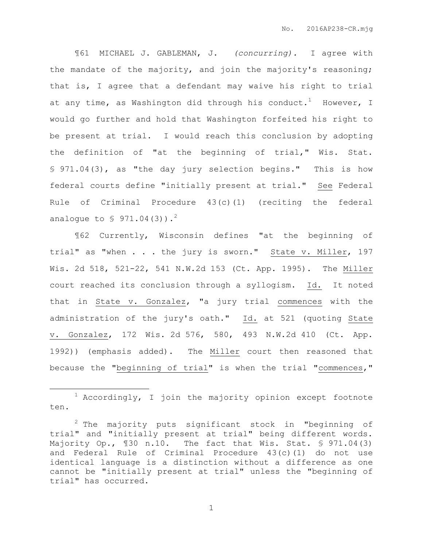¶61 MICHAEL J. GABLEMAN, J. *(concurring).* I agree with the mandate of the majority, and join the majority's reasoning; that is, I agree that a defendant may waive his right to trial at any time, as Washington did through his conduct.<sup>1</sup> However, I would go further and hold that Washington forfeited his right to be present at trial. I would reach this conclusion by adopting the definition of "at the beginning of trial," Wis. Stat. § 971.04(3), as "the day jury selection begins." This is how federal courts define "initially present at trial." See Federal Rule of Criminal Procedure 43(c)(1) (reciting the federal analogue to  $$ 971.04(3)$ .<sup>2</sup>

¶62 Currently, Wisconsin defines "at the beginning of trial" as "when . . . the jury is sworn." State v. Miller, 197 Wis. 2d 518, 521-22, 541 N.W.2d 153 (Ct. App. 1995). The Miller court reached its conclusion through a syllogism. Id. It noted that in State v. Gonzalez, "a jury trial commences with the administration of the jury's oath." Id. at 521 (quoting State v. Gonzalez, 172 Wis. 2d 576, 580, 493 N.W.2d 410 (Ct. App. 1992)) (emphasis added). The Miller court then reasoned that because the "beginning of trial" is when the trial "commences,"

 $\overline{a}$ 

 $1$  Accordingly, I join the majority opinion except footnote ten.

<sup>&</sup>lt;sup>2</sup> The majority puts significant stock in "beginning of trial" and "initially present at trial" being different words. Majority Op., ¶30 n.10. The fact that Wis. Stat. § 971.04(3) and Federal Rule of Criminal Procedure 43(c)(1) do not use identical language is a distinction without a difference as one cannot be "initially present at trial" unless the "beginning of trial" has occurred.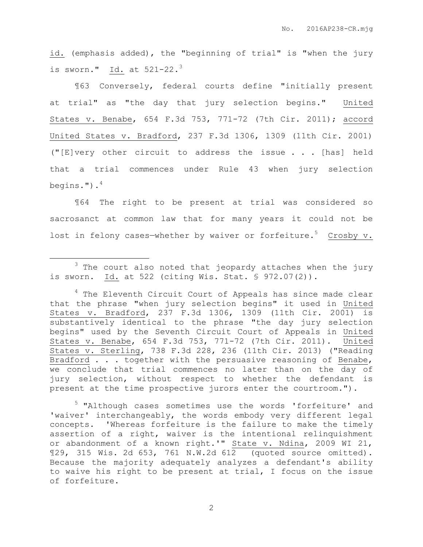id. (emphasis added), the "beginning of trial" is "when the jury is sworn." Id. at  $521-22.$ <sup>3</sup>

¶63 Conversely, federal courts define "initially present at trial" as "the day that jury selection begins." United States v. Benabe, 654 F.3d 753, 771-72 (7th Cir. 2011); accord United States v. Bradford, 237 F.3d 1306, 1309 (11th Cir. 2001) ("[E]very other circuit to address the issue . . . [has] held that a trial commences under Rule 43 when jury selection begins."). $4$ 

¶64 The right to be present at trial was considered so sacrosanct at common law that for many years it could not be lost in felony cases-whether by waiver or forfeiture.<sup>5</sup> Crosby v.

 $\overline{a}$ 

<sup>5</sup> "Although cases sometimes use the words 'forfeiture' and 'waiver' interchangeably, the words embody very different legal concepts. 'Whereas forfeiture is the failure to make the timely assertion of a right, waiver is the intentional relinquishment or abandonment of a known right.'" State v. Ndina, 2009 WI 21, ¶29, 315 Wis. 2d 653, 761 N.W.2d 612 (quoted source omitted). Because the majority adequately analyzes a defendant's ability to waive his right to be present at trial, I focus on the issue of forfeiture.

 $3$  The court also noted that jeopardy attaches when the jury is sworn. Id. at 522 (citing Wis. Stat. § 972.07(2)).

<sup>&</sup>lt;sup>4</sup> The Eleventh Circuit Court of Appeals has since made clear that the phrase "when jury selection begins" it used in United States v. Bradford, 237 F.3d 1306, 1309 (11th Cir. 2001) is substantively identical to the phrase "the day jury selection begins" used by the Seventh Circuit Court of Appeals in United States v. Benabe, 654 F.3d 753, 771-72 (7th Cir. 2011). United States v. Sterling, 738 F.3d 228, 236 (11th Cir. 2013) ("Reading Bradford . . . together with the persuasive reasoning of Benabe, we conclude that trial commences no later than on the day of jury selection, without respect to whether the defendant is present at the time prospective jurors enter the courtroom.").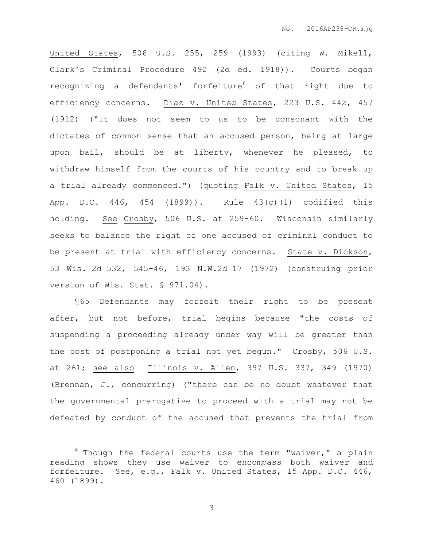United States, 506 U.S. 255, 259 (1993) (citing W. Mikell, Clark's Criminal Procedure 492 (2d ed. 1918)). Courts began recognizing a defendants' forfeiture<sup>6</sup> of that right due to efficiency concerns. Diaz v. United States, 223 U.S. 442, 457 (1912) ("It does not seem to us to be consonant with the dictates of common sense that an accused person, being at large upon bail, should be at liberty, whenever he pleased, to withdraw himself from the courts of his country and to break up a trial already commenced.") (quoting Falk v. United States, 15 App. D.C. 446, 454 (1899)). Rule 43(c)(1) codified this holding. See Crosby, 506 U.S. at 259-60. Wisconsin similarly seeks to balance the right of one accused of criminal conduct to be present at trial with efficiency concerns. State v. Dickson, 53 Wis. 2d 532, 545-46, 193 N.W.2d 17 (1972) (construing prior version of Wis. Stat. § 971.04).

¶65 Defendants may forfeit their right to be present after, but not before, trial begins because "the costs of suspending a proceeding already under way will be greater than the cost of postponing a trial not yet begun." Crosby, 506 U.S. at 261; see also Illinois v. Allen, 397 U.S. 337, 349 (1970) (Brennan, J., concurring) ("there can be no doubt whatever that the governmental prerogative to proceed with a trial may not be defeated by conduct of the accused that prevents the trial from

 $\overline{a}$ 

 $6$  Though the federal courts use the term "waiver," a plain reading shows they use waiver to encompass both waiver and forfeiture. See, e.g., Falk v. United States, 15 App. D.C. 446, 460 (1899).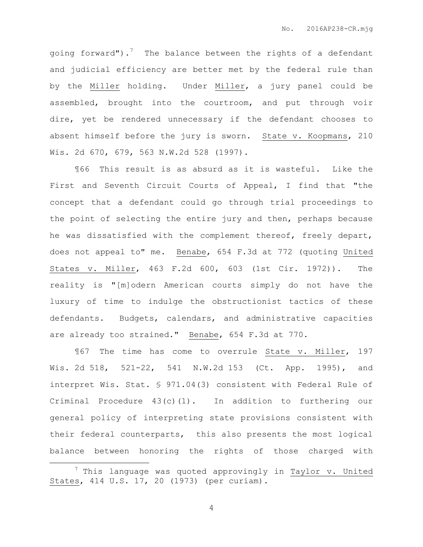going forward").<sup>7</sup> The balance between the rights of a defendant and judicial efficiency are better met by the federal rule than by the Miller holding. Under Miller, a jury panel could be assembled, brought into the courtroom, and put through voir dire, yet be rendered unnecessary if the defendant chooses to absent himself before the jury is sworn. State v. Koopmans, 210 Wis. 2d 670, 679, 563 N.W.2d 528 (1997).

¶66 This result is as absurd as it is wasteful. Like the First and Seventh Circuit Courts of Appeal, I find that "the concept that a defendant could go through trial proceedings to the point of selecting the entire jury and then, perhaps because he was dissatisfied with the complement thereof, freely depart, does not appeal to" me. Benabe, 654 F.3d at 772 (quoting United States v. Miller, 463 F.2d 600, 603 (1st Cir. 1972)). The reality is "[m]odern American courts simply do not have the luxury of time to indulge the obstructionist tactics of these defendants. Budgets, calendars, and administrative capacities are already too strained." Benabe, 654 F.3d at 770.

¶67 The time has come to overrule State v. Miller, 197 Wis. 2d 518, 521-22, 541 N.W.2d 153 (Ct. App. 1995), and interpret Wis. Stat. § 971.04(3) consistent with Federal Rule of Criminal Procedure  $43(c)(1)$ . In addition to furthering our general policy of interpreting state provisions consistent with their federal counterparts, this also presents the most logical balance between honoring the rights of those charged with

 $\overline{a}$ 

 $7$  This language was quoted approvingly in Taylor v. United States, 414 U.S. 17, 20 (1973) (per curiam).